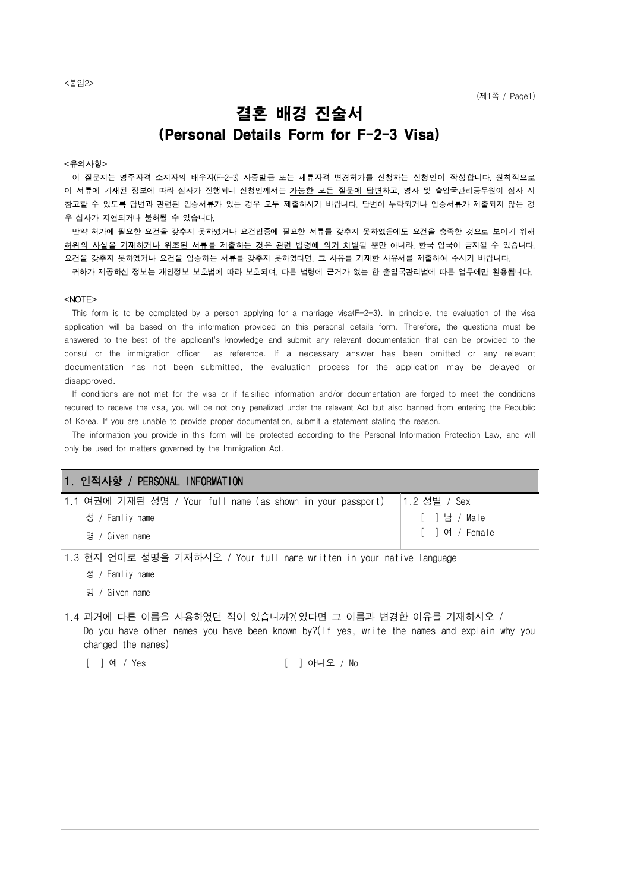# 결혼 배경 진술서 (Personal Details Form for F-2-3 Visa)

#### <유의사항>

이 질문지는 영주자격 소지자의 배우자(F-2-3) 사증발급 또는 체류자격 변경허가를 신청하는 **신청인이 작성**합니다. 원칙적으로 이 서류에 기재된 정보에 따라 심사가 진행되니 신청인께서는 가능한 모든 질문에 답변하고, 영사 및 출입국관리공무원이 심사 시 참고할 수 있도록 답변과 관련된 입증서류가 있는 경우 모두 제출하시기 바랍니다. 답변이 누락되거나 입증서류가 제출되지 않는 경 우 심사가 지연되거나 불허될 수 있습니다.

만약 허가에 필요한 요건을 갖추지 못하였거나 요건입증에 필요한 서류를 갖추지 못하였음에도 요건을 충족한 것으로 보이기 위해 허위의 사실을 기재하거나 위조된 서류를 제출하는 것은 관련 법령에 의거 처벌될 뿐만 아니라, 한국 입국이 금지될 수 있습니다. 요건을 갖추지 못하였거나 요건을 입증하는 서류를 갖추지 못하였다면, 그 사유를 기재한 사유서를 제출하여 주시기 바랍니다. 귀하가 제공하신 정보는 개인정보 보호법에 따라 보호되며, 다른 법령에 근거가 없는 한 출입국관리법에 따른 업무에만 활용됩니다.

#### <NOTE>

This form is to be completed by a person applying for a marriage visa(F-2-3). In principle, the evaluation of the visa application will be based on the information provided on this personal details form. Therefore, the questions must be answered to the best of the applicant's knowledge and submit any relevant documentation that can be provided to the consul or the immigration officer as reference. If a necessary answer has been omitted or any relevant documentation has not been submitted, the evaluation process for the application may be delayed or disapproved.

 If conditions are not met for the visa or if falsified information and/or documentation are forged to meet the conditions required to receive the visa, you will be not only penalized under the relevant Act but also banned from entering the Republic of Korea. If you are unable to provide proper documentation, submit a statement stating the reason.

 The information you provide in this form will be protected according to the Personal Information Protection Law, and will only be used for matters governed by the Immigration Act.

#### 1. 인적사항 / PERSONAL INFORMATION

| 1.1 여권에 기재된 성명 / Your full name (as shown in your passport)   1.2 성별 / Sex |               |
|----------------------------------------------------------------------------|---------------|
| 성 / Famliv name                                                            | │ [ ]남 / Male |
| 명 / Given name                                                             |               |

1.3 현지 언어로 성명을 기재하시오 / Your full name written in your native language

성 / Famliy name

명 / Given name

1.4 과거에 다른 이름을 사용하였던 적이 있습니까?(있다면 그 이름과 변경한 이유를 기재하시오 / Do you have other names you have been known by?(If yes, write the names and explain why you changed the names)

[ ] 예 / Yes [ ] 아니오 / No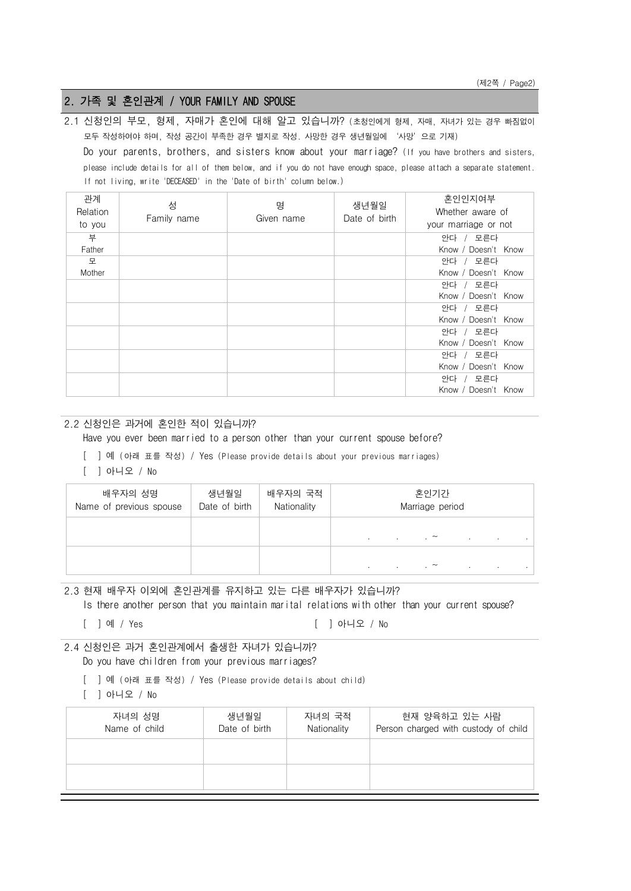# 2. 가족 및 혼인관계 / YOUR FAMILY AND SPOUSE

2.1 신청인의 부모, 형제, 자매가 혼인에 대해 알고 있습니까? (초청인에게 형제, 자매, 자녀가 있는 경우 빠짐없이 모두 작성하여야 하며, 작성 공간이 부족한 경우 별지로 작성. 사망한 경우 생년월일에 '사망'으로 기재) Do your parents, brothers, and sisters know about your marriage? (If you have brothers and sisters, please include details for all of them below, and if you do not have enough space, please attach a separate statement. If not living, write 'DECEASED' in the 'Date of birth' column below.)

| 관계<br>Relation<br>to you | 성<br>Family name | 명<br>Given name | 생년월일<br>Date of birth | 혼인인지여부<br>Whether aware of<br>your marriage or not |
|--------------------------|------------------|-----------------|-----------------------|----------------------------------------------------|
| 부                        |                  |                 |                       | 안다 / 모른다                                           |
| Father                   |                  |                 |                       | Know / Doesn't Know                                |
| 모                        |                  |                 |                       | 안다 / 모른다                                           |
| Mother                   |                  |                 |                       | Know / Doesn't Know                                |
|                          |                  |                 |                       | 안다 / 모른다                                           |
|                          |                  |                 |                       | Know / Doesn't Know                                |
|                          |                  |                 |                       | 안다 / 모른다                                           |
|                          |                  |                 |                       | Know / Doesn't Know                                |
|                          |                  |                 |                       | 안다 / 모른다                                           |
|                          |                  |                 |                       | Know / Doesn't Know                                |
|                          |                  |                 |                       | 안다 / 모른다                                           |
|                          |                  |                 |                       | Know / Doesn't Know                                |
|                          |                  |                 |                       | 안다 / 모른다                                           |
|                          |                  |                 |                       | Know / Doesn't Know                                |

#### 2.2 신청인은 과거에 혼인한 적이 있습니까?

Have you ever been married to a person other than your current spouse before?

[ ] 예 (아래 표를 작성) / Yes (Please provide details about your previous marriages)

[ ] 아니오 / No

| 배우자의 성명<br>Name of previous spouse | 생년월일<br>Date of birth | 배우자의 국적<br>Nationality | 혼인기간<br>Marriage period |        |                             |        |                   |  |
|------------------------------------|-----------------------|------------------------|-------------------------|--------|-----------------------------|--------|-------------------|--|
|                                    |                       |                        | $\sim$                  | $\sim$ | $\sim$ $\sim$ $\sim$        | $\sim$ | <b>Contractor</b> |  |
|                                    |                       |                        | $\blacksquare$          | $\sim$ | $\sim$ $\sim$ $\sim$ $\sim$ | $\sim$ | <b>Contractor</b> |  |

# 2.3 현재 배우자 이외에 혼인관계를 유지하고 있는 다른 배우자가 있습니까?

Is there another person that you maintain marital relations with other than your current spouse?

[ ] 예 / Yes [ ] 아니오 / No

## 2.4 신청인은 과거 혼인관계에서 출생한 자녀가 있습니까?

Do you have children from your previous marriages?

- [ ] 예 (아래 표를 작성) / Yes (Please provide details about child)
- [ ] 아니오 / No

| 자녀의 성명<br>Name of child | 생녀월일<br>Date of birth | 자녀의 국적<br>Nationality | 현재 양육하고 있는 사람<br>Person charged with custody of child |
|-------------------------|-----------------------|-----------------------|-------------------------------------------------------|
|                         |                       |                       |                                                       |
|                         |                       |                       |                                                       |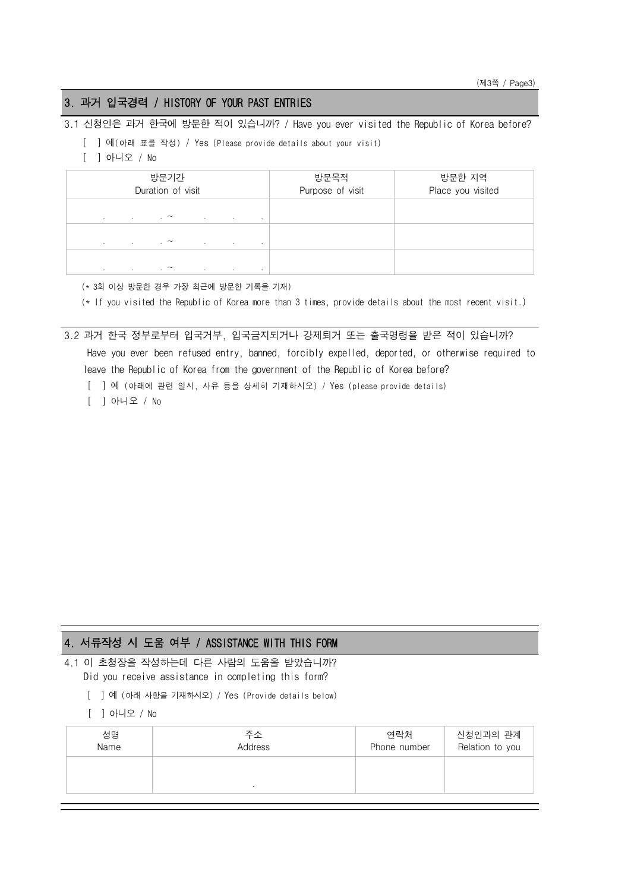# 3. 과거 입국경력 / HISTORY OF YOUR PAST ENTRIES

3.1 신청인은 과거 한국에 방문한 적이 있습니까? / Have you ever visited the Republic of Korea before?

- [ ] 예(아래 표를 작성) / Yes (Please provide details about your visit)
- [ ] 아니오 / No

| 방문기간<br>Duration of visit |                                                                |                                    | 방문목적<br>Purpose of visit | 방문한 지역<br>Place you visited |
|---------------------------|----------------------------------------------------------------|------------------------------------|--------------------------|-----------------------------|
| $\mathbf{r}$              | $\sim$ $\sim$ $\sim$ $\sim$ $\sim$ $\sim$<br><b>Contractor</b> | <b>Contract Contract</b><br>$\sim$ |                          |                             |
| $\sim$                    | and the contract of the contract of the<br>the control of the  | <b>Contract Contract</b><br>$\sim$ |                          |                             |
| $\sim$<br>$\sim$          | $\sim$ $\sim$<br>$\sim$                                        | $\sim$<br>$\cdot$                  |                          |                             |

(\* 3회 이상 방문한 경우 가장 최근에 방문한 기록을 기재)

(\* If you visited the Republic of Korea more than 3 times, provide details about the most recent visit.)

#### 3.2 과거 한국 정부로부터 입국거부, 입국금지되거나 강제퇴거 또는 출국명령을 받은 적이 있습니까?

 Have you ever been refused entry, banned, forcibly expelled, deported, or otherwise required to leave the Republic of Korea from the government of the Republic of Korea before?

[ ] 예 (아래에 관련 일시, 사유 등을 상세히 기재하시오) / Yes (please provide details)

[ ] 아니오 / No

# 4. 서류작성 시 도움 여부 / ASSISTANCE WITH THIS FORM

4.1 이 초청장을 작성하는데 다른 사람의 도움을 받았습니까? Did you receive assistance in completing this form?

- [ ] 예 (아래 사항을 기재하시오) / Yes (Provide details below)
- [ ] 아니오 / No

| 성명<br>Name | 주소<br><b>Address</b> | 연락처<br>Phone number | 신청인과의 관계<br>Relation to you |
|------------|----------------------|---------------------|-----------------------------|
|            |                      |                     |                             |
|            |                      |                     |                             |